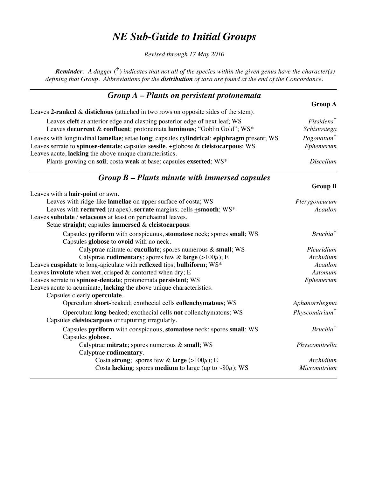## *NE Sub-Guide to Initial Groups*

*Revised through 17 May 2010*

*Reminder: A dagger* (**†**) *indicates that not all of the species within the given genus have the character(s) defining that Group. Abbreviations for the distribution of taxa are found at the end of the Concordance.* 

| $Group A$ – Plants on persistent protonemata                                                                                                                                                                                                |                                                  |
|---------------------------------------------------------------------------------------------------------------------------------------------------------------------------------------------------------------------------------------------|--------------------------------------------------|
|                                                                                                                                                                                                                                             | <b>Group A</b>                                   |
| Leaves 2-ranked $\&$ distichous (attached in two rows on opposite sides of the stem).                                                                                                                                                       |                                                  |
| Leaves cleft at anterior edge and clasping posterior edge of next leaf; WS<br>Leaves decurrent & confluent; protonemata luminous; "Goblin Gold"; WS*                                                                                        | $F$ <i>issidens</i> <sup>†</sup><br>Schistostega |
| Leaves with longitudinal lamellae; setae long; capsules cylindrical; epiphragm present; WS<br>Leaves serrate to spinose-dentate; capsules sessile, +globose & cleistocarpous; WS<br>Leaves acute, lacking the above unique characteristics. | $Pogonatum^{\dagger}$<br>Ephemerum               |
| Plants growing on soil; costa weak at base; capsules exserted; WS*                                                                                                                                                                          | <i>Discelium</i>                                 |

## *Group B – Plants minute with immersed capsules*

|                                                                                | <b>Group B</b>            |
|--------------------------------------------------------------------------------|---------------------------|
| Leaves with a hair-point or awn.                                               |                           |
| Leaves with ridge-like <b>lamellae</b> on upper surface of costa; WS           | Pterygoneurum             |
| Leaves with recurved (at apex), serrate margins; cells <b>+smooth</b> ; WS*    | Acaulon                   |
| Leaves subulate / setaceous at least on perichaetial leaves.                   |                           |
| Setae straight; capsules immersed & cleistocarpous.                            |                           |
| Capsules pyriform with conspicuous, stomatose neck; spores small; WS           | $Bruchia^{\dagger}$       |
| Capsules globose to ovoid with no neck.                                        |                           |
| Calyptrae mitrate or cucullate; spores numerous & small; WS                    | Pleuridium                |
| Calyptrae rudimentary; spores few & large $(>100\mu)$ ; E                      | Archidium                 |
| Leaves cuspidate to long-apiculate with reflexed tips; bulbiform; WS*          | Acaulon                   |
| Leaves involute when wet, crisped $\&$ contorted when dry; E                   | <b>Astomum</b>            |
| Leaves serrate to spinose-dentate; protonemata persistent; WS                  | Ephemerum                 |
| Leaves acute to acuminate, lacking the above unique characteristics.           |                           |
| Capsules clearly operculate.                                                   |                           |
| Operculum short-beaked; exothecial cells collenchymatous; WS                   | Aphanorrhegma             |
| Operculum <b>long</b> -beaked; exothecial cells <b>not</b> collenchymatous; WS | $Physcomitrium^{\dagger}$ |
| Capsules cleistocarpous or rupturing irregularly.                              |                           |
| Capsules pyriform with conspicuous, stomatose neck; spores small; WS           | $Bruchia^{\dagger}$       |
| Capsules globose.                                                              |                           |
| Calyptrae mitrate; spores numerous $\&$ small; WS                              | Physcomitrella            |
| Calyptrae rudimentary.                                                         |                           |
| Costa strong; spores few & large $(>100\mu)$ ; E                               | Archidium                 |
| Costa lacking; spores medium to large (up to $\sim80\mu$ ); WS                 | Micromitrium              |
|                                                                                |                           |